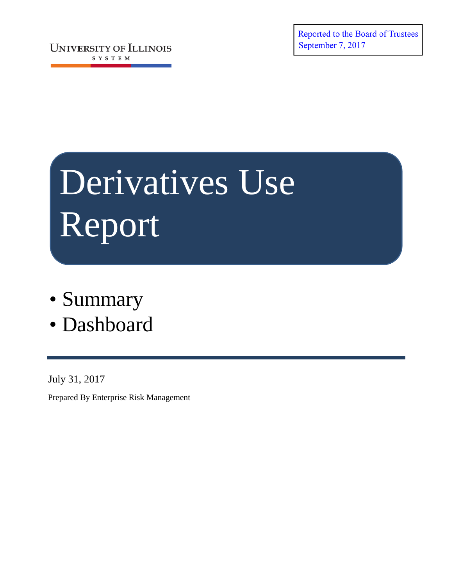Reported to the Board of Trustees September 7, 2017

**UNIVERSITY OF ILLINOIS** SYSTEM

# Derivatives Use Report

- Summary
- Dashboard

July 31, 2017

Prepared By Enterprise Risk Management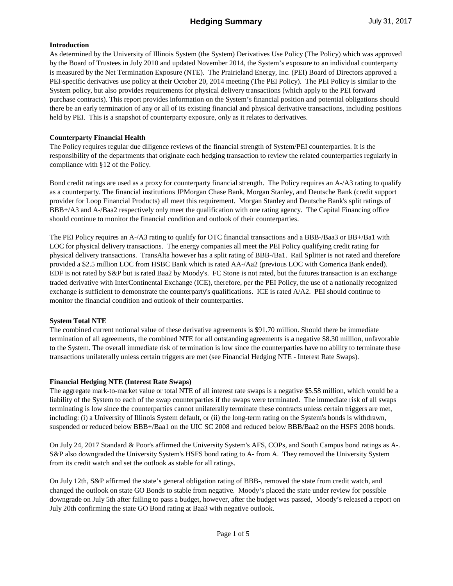# **Hedging Summary July 31, 2017**

#### **Introduction**

As determined by the University of Illinois System (the System) Derivatives Use Policy (The Policy) which was approved by the Board of Trustees in July 2010 and updated November 2014, the System's exposure to an individual counterparty is measured by the Net Termination Exposure (NTE). The Prairieland Energy, Inc. (PEI) Board of Directors approved a PEI-specific derivatives use policy at their October 20, 2014 meeting (The PEI Policy). The PEI Policy is similar to the System policy, but also provides requirements for physical delivery transactions (which apply to the PEI forward purchase contracts). This report provides information on the System's financial position and potential obligations should there be an early termination of any or all of its existing financial and physical derivative transactions, including positions held by PEI. This is a snapshot of counterparty exposure, only as it relates to derivatives.

#### **Counterparty Financial Health**

The Policy requires regular due diligence reviews of the financial strength of System/PEI counterparties. It is the responsibility of the departments that originate each hedging transaction to review the related counterparties regularly in compliance with §12 of the Policy.

Bond credit ratings are used as a proxy for counterparty financial strength. The Policy requires an A-/A3 rating to qualify as a counterparty. The financial institutions JPMorgan Chase Bank, Morgan Stanley, and Deutsche Bank (credit support provider for Loop Financial Products) all meet this requirement. Morgan Stanley and Deutsche Bank's split ratings of BBB+/A3 and A-/Baa2 respectively only meet the qualification with one rating agency. The Capital Financing office should continue to monitor the financial condition and outlook of their counterparties.

The PEI Policy requires an A-/A3 rating to qualify for OTC financial transactions and a BBB-/Baa3 or BB+/Ba1 with LOC for physical delivery transactions. The energy companies all meet the PEI Policy qualifying credit rating for physical delivery transactions. TransAlta however has a split rating of BBB-/Ba1. Rail Splitter is not rated and therefore provided a \$2.5 million LOC from HSBC Bank which is rated AA-/Aa2 (previous LOC with Comerica Bank ended). EDF is not rated by S&P but is rated Baa2 by Moody's. FC Stone is not rated, but the futures transaction is an exchange traded derivative with InterContinental Exchange (ICE), therefore, per the PEI Policy, the use of a nationally recognized exchange is sufficient to demonstrate the counterparty's qualifications. ICE is rated A/A2. PEI should continue to monitor the financial condition and outlook of their counterparties.

# **System Total NTE**

The combined current notional value of these derivative agreements is \$91.70 million. Should there be immediate termination of all agreements, the combined NTE for all outstanding agreements is a negative \$8.30 million, unfavorable to the System. The overall immediate risk of termination is low since the counterparties have no ability to terminate these transactions unilaterally unless certain triggers are met (see Financial Hedging NTE - Interest Rate Swaps).

#### **Financial Hedging NTE (Interest Rate Swaps)**

The aggregate mark-to-market value or total NTE of all interest rate swaps is a negative \$5.58 million, which would be a liability of the System to each of the swap counterparties if the swaps were terminated. The immediate risk of all swaps terminating is low since the counterparties cannot unilaterally terminate these contracts unless certain triggers are met, including: (i) a University of Illinois System default, or (ii) the long-term rating on the System's bonds is withdrawn, suspended or reduced below BBB+/Baa1 on the UIC SC 2008 and reduced below BBB/Baa2 on the HSFS 2008 bonds.

On July 24, 2017 Standard & Poor's affirmed the University System's AFS, COPs, and South Campus bond ratings as A-. S&P also downgraded the University System's HSFS bond rating to A- from A. They removed the University System from its credit watch and set the outlook as stable for all ratings.

On July 12th, S&P affirmed the state's general obligation rating of BBB-, removed the state from credit watch, and changed the outlook on state GO Bonds to stable from negative. Moody's placed the state under review for possible downgrade on July 5th after failing to pass a budget, however, after the budget was passed, Moody's released a report on July 20th confirming the state GO Bond rating at Baa3 with negative outlook.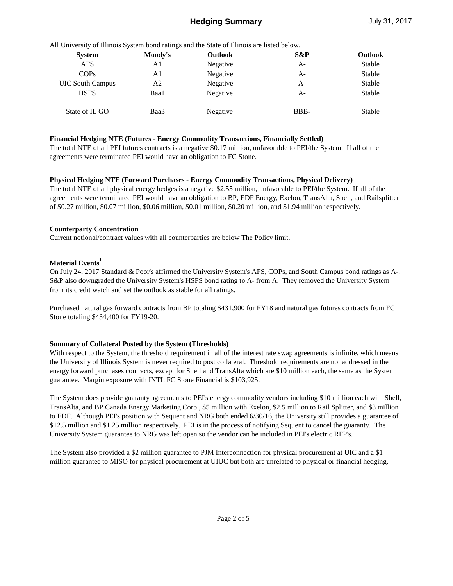# **Hedging Summary** July 31, 2017

|  |  |  |  | All University of Illinois System bond ratings and the State of Illinois are listed below. |  |
|--|--|--|--|--------------------------------------------------------------------------------------------|--|
|  |  |  |  |                                                                                            |  |

| <b>System</b>           | Moody's | <b>Outlook</b> | S&P  | Outlook |
|-------------------------|---------|----------------|------|---------|
| <b>AFS</b>              | A1      | Negative       | $A-$ | Stable  |
| COPs                    | A1      | Negative       | $A-$ | Stable  |
| <b>UIC South Campus</b> | A2      | Negative       | A-   | Stable  |
| <b>HSFS</b>             | Baa1    | Negative       | A-   | Stable  |
| State of IL GO          | Baa3    | Negative       | BBB- | Stable  |

#### **Financial Hedging NTE (Futures - Energy Commodity Transactions, Financially Settled)**

The total NTE of all PEI futures contracts is a negative \$0.17 million, unfavorable to PEI/the System. If all of the agreements were terminated PEI would have an obligation to FC Stone.

#### **Physical Hedging NTE (Forward Purchases - Energy Commodity Transactions, Physical Delivery)**

The total NTE of all physical energy hedges is a negative \$2.55 million, unfavorable to PEI/the System. If all of the agreements were terminated PEI would have an obligation to BP, EDF Energy, Exelon, TransAlta, Shell, and Railsplitter of \$0.27 million, \$0.07 million, \$0.06 million, \$0.01 million, \$0.20 million, and \$1.94 million respectively.

#### **Counterparty Concentration**

Current notional/contract values with all counterparties are below The Policy limit.

# **Material Events<sup>1</sup>**

On July 24, 2017 Standard & Poor's affirmed the University System's AFS, COPs, and South Campus bond ratings as A-. S&P also downgraded the University System's HSFS bond rating to A- from A. They removed the University System from its credit watch and set the outlook as stable for all ratings.

Purchased natural gas forward contracts from BP totaling \$431,900 for FY18 and natural gas futures contracts from FC Stone totaling \$434,400 for FY19-20.

# **Summary of Collateral Posted by the System (Thresholds)**

With respect to the System, the threshold requirement in all of the interest rate swap agreements is infinite, which means the University of Illinois System is never required to post collateral. Threshold requirements are not addressed in the energy forward purchases contracts, except for Shell and TransAlta which are \$10 million each, the same as the System guarantee. Margin exposure with INTL FC Stone Financial is \$103,925.

The System does provide guaranty agreements to PEI's energy commodity vendors including \$10 million each with Shell, TransAlta, and BP Canada Energy Marketing Corp., \$5 million with Exelon, \$2.5 million to Rail Splitter, and \$3 million to EDF. Although PEI's position with Sequent and NRG both ended 6/30/16, the University still provides a guarantee of \$12.5 million and \$1.25 million respectively. PEI is in the process of notifying Sequent to cancel the guaranty. The University System guarantee to NRG was left open so the vendor can be included in PEI's electric RFP's.

The System also provided a \$2 million guarantee to PJM Interconnection for physical procurement at UIC and a \$1 million guarantee to MISO for physical procurement at UIUC but both are unrelated to physical or financial hedging.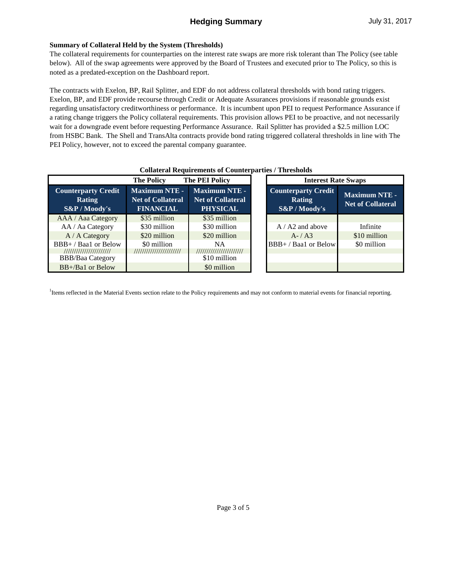# **Summary of Collateral Held by the System (Thresholds)**

The collateral requirements for counterparties on the interest rate swaps are more risk tolerant than The Policy (see table below). All of the swap agreements were approved by the Board of Trustees and executed prior to The Policy, so this is noted as a predated-exception on the Dashboard report.

The contracts with Exelon, BP, Rail Splitter, and EDF do not address collateral thresholds with bond rating triggers. Exelon, BP, and EDF provide recourse through Credit or Adequate Assurances provisions if reasonable grounds exist regarding unsatisfactory creditworthiness or performance. It is incumbent upon PEI to request Performance Assurance if a rating change triggers the Policy collateral requirements. This provision allows PEI to be proactive, and not necessarily wait for a downgrade event before requesting Performance Assurance. Rail Splitter has provided a \$2.5 million LOC from HSBC Bank. The Shell and TransAlta contracts provide bond rating triggered collateral thresholds in line with The PEI Policy, however, not to exceed the parental company guarantee.

|                                                              | <b>The PEI Policy</b><br><b>The Policy</b>                           |                                                              | <b>Interest Rate Swaps</b> |                                                        |                                                  |  |
|--------------------------------------------------------------|----------------------------------------------------------------------|--------------------------------------------------------------|----------------------------|--------------------------------------------------------|--------------------------------------------------|--|
| <b>Counterparty Credit</b><br><b>Rating</b><br>S&P / Moody's | <b>Maximum NTE -</b><br><b>Net of Collateral</b><br><b>FINANCIAL</b> | Maximum NTE -<br><b>Net of Collateral</b><br><b>PHYSICAL</b> |                            | Counterparty Credit<br><b>Rating</b><br>$S\&P/Moody's$ | <b>Maximum NTE -</b><br><b>Net of Collateral</b> |  |
| AAA / Aaa Category                                           | \$35 million                                                         | \$35 million                                                 |                            |                                                        |                                                  |  |
| AA / Aa Category                                             | \$30 million                                                         | \$30 million                                                 |                            | $A / A2$ and above                                     | Infinite                                         |  |
| $A / A$ Category                                             | \$20 million                                                         | \$20 million                                                 |                            | $A - / A3$                                             | \$10 million                                     |  |
| BBB+/Baa1 or Below                                           | \$0 million                                                          | NA                                                           |                            | BBB+/Baa1 or Below                                     | \$0 million                                      |  |
| ///////////////////////                                      | ///////////////////////                                              | ///////////////////////                                      |                            |                                                        |                                                  |  |
| <b>BBB/Baa Category</b>                                      |                                                                      | \$10 million                                                 |                            |                                                        |                                                  |  |
| $BB+/Ba1$ or Below                                           |                                                                      | \$0 million                                                  |                            |                                                        |                                                  |  |

#### **Collateral Requirements of Counterparties / Thresholds**

Items reflected in the Material Events section relate to the Policy requirements and may not conform to material events for financial reporting.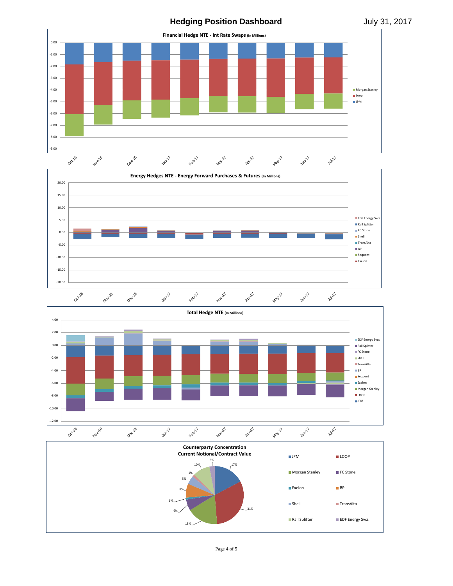**Hedging Position Dashboard** July 31, 2017